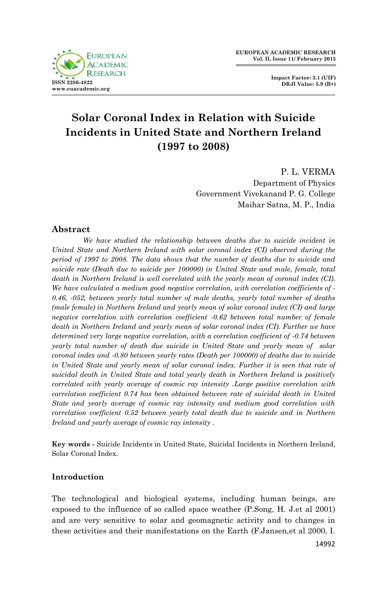

**Impact Factor: 3.1 (UIF) DRJI Value: 5.9 (B+)**

# **Solar Coronal Index in Relation with Suicide Incidents in United State and Northern Ireland (1997 to 2008)**

P. L. VERMA Department of Physics Government Vivekanand P. G. College Maihar Satna, M. P., India

# **Abstract**

*We have studied the relationship between deaths due to suicide incident in United State and Northern Ireland with solar coronal index (CI) observed during the period of 1997 to 2008. The data shows that the number of deaths due to suicide and suicide rate (Death due to suicide per 100000) in United State and male, female, total death in Northern Ireland is well correlated with the yearly mean of coronal index (CI). We have calculated a medium good negative correlation, with correlation coefficients of - 0.46, -052, between yearly total number of male deaths, yearly total number of deaths (male female) in Northern Ireland and yearly mean of solar coronal index (CI) and large negative correlation with correlation coefficient -0.62 between total number of female death in Northern Ireland and yearly mean of solar coronal index (CI). Further we have determined very large negative correlation, with a correlation coefficient of -0.74 between yearly total number of death due suicide in United State and yearly mean of solar coronal index and -0.80 between yearly rates (Death per 100000) of deaths due to suicide in United State and yearly mean of solar coronal index. Further it is seen that rate of suicidal death in United State and total yearly death in Northern Ireland is positively correlated with yearly average of cosmic ray intensity .Large positive correlation with correlation coefficient 0.74 has been obtained between rate of suicidal death in United State and yearly average of cosmic ray intensity and medium good correlation with correlation coefficient 0.52 between yearly total death due to suicide and in Northern Ireland and yearly average of cosmic ray intensity .*

**Key words -** Suicide Incidents in United State, Suicidal Incidents in Northern Ireland, Solar Coronal Index.

# **Introduction**

The technological and biological systems, including human beings, are exposed to the influence of so called space weather (P.Song, H. J.et al 2001) and are very sensitive to solar and geomagnetic activity and to changes in these activities and their manifestations on the Earth (F.Jansen,et al 2000, I.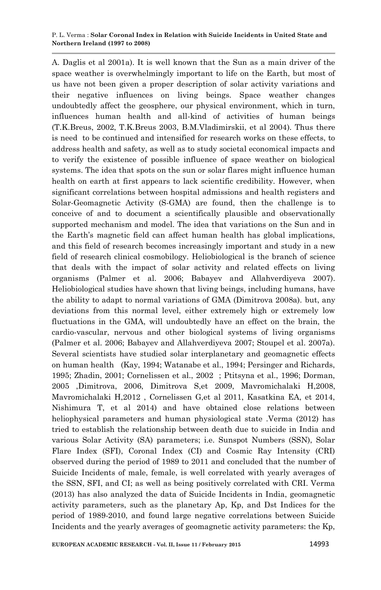A. Daglis et al 2001a). It is well known that the Sun as a main driver of the space weather is overwhelmingly important to life on the Earth, but most of us have not been given a proper description of solar activity variations and their negative influences on living beings. Space weather changes undoubtedly affect the geosphere, our physical environment, which in turn, influences human health and all-kind of activities of human beings (T.K.Breus, 2002, T.K.Breus 2003, B.M.Vladimirskii, et al 2004). Thus there is need to be continued and intensified for research works on these effects, to address health and safety, as well as to study societal economical impacts and to verify the existence of possible influence of space weather on biological systems. The idea that spots on the sun or solar flares might influence human health on earth at first appears to lack scientific credibility. However, when significant correlations between hospital admissions and health registers and Solar-Geomagnetic Activity (S-GMA) are found, then the challenge is to conceive of and to document a scientifically plausible and observationally supported mechanism and model. The idea that variations on the Sun and in the Earth's magnetic field can affect human health has global implications, and this field of research becomes increasingly important and study in a new field of research clinical cosmobilogy. Heliobiological is the branch of science that deals with the impact of solar activity and related effects on living organisms (Palmer et al. 2006; Babayev and Allahverdiyeva 2007). Heliobiological studies have shown that living beings, including humans, have the ability to adapt to normal variations of GMA (Dimitrova 2008a). but, any deviations from this normal level, either extremely high or extremely low fluctuations in the GMA, will undoubtedly have an effect on the brain, the cardio-vascular, nervous and other biological systems of living organisms (Palmer et al. 2006; Babayev and Allahverdiyeva 2007; Stoupel et al. 2007a). Several scientists have studied solar interplanetary and geomagnetic effects on human health (Kay, 1994; Watanabe et al., 1994; Persinger and Richards, 1995; Zhadin, 2001; Cornelissen et al., 2002 ; Ptitsyna et al., 1996; Dorman, 2005 ,Dimitrova, 2006, Dimitrova S,et 2009, Mavromichalaki H,2008, Mavromichalaki H,2012 , Cornelissen G,et al 2011, Kasatkina EA, et 2014, Nishimura T, et al 2014) and have obtained close relations between heliophysical parameters and human physiological state .Verma (2012) has tried to establish the relationship between death due to suicide in India and various Solar Activity (SA) parameters; i.e. Sunspot Numbers (SSN), Solar Flare Index (SFI), Coronal Index (CI) and Cosmic Ray Intensity (CRI) observed during the period of 1989 to 2011 and concluded that the number of Suicide Incidents of male, female, is well correlated with yearly averages of the SSN, SFI, and CI; as well as being positively correlated with CRI. Verma (2013) has also analyzed the data of Suicide Incidents in India, geomagnetic activity parameters, such as the planetary Ap, Kp, and Dst Indices for the period of 1989-2010, and found large negative correlations between Suicide Incidents and the yearly averages of geomagnetic activity parameters: the Kp,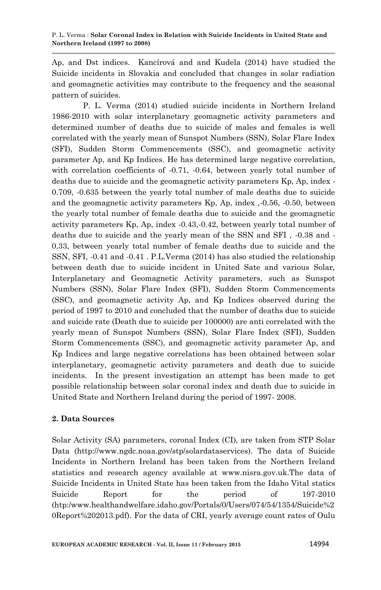Ap, and Dst indices. Kancírová and and Kudela (2014) have studied the Suicide incidents in Slovakia and concluded that changes in solar radiation and geomagnetic activities may contribute to the frequency and the seasonal pattern of suicides.

P. L. Verma (2014) studied suicide incidents in Northern Ireland 1986-2010 with solar interplanetary geomagnetic activity parameters and determined number of deaths due to suicide of males and females is well correlated with the yearly mean of Sunspot Numbers (SSN), Solar Flare Index (SFI), Sudden Storm Commencements (SSC), and geomagnetic activity parameter Ap, and Kp Indices. He has determined large negative correlation, with correlation coefficients of -0.71, -0.64, between yearly total number of deaths due to suicide and the geomagnetic activity parameters Kp, Ap, index - 0.709, -0.635 between the yearly total number of male deaths due to suicide and the geomagnetic activity parameters Kp, Ap, index ,-0.56, -0.50, between the yearly total number of female deaths due to suicide and the geomagnetic activity parameters Kp, Ap, index -0.43,-0.42, between yearly total number of deaths due to suicide and the yearly mean of the SSN and SFI , -0.38 and - 0.33, between yearly total number of female deaths due to suicide and the SSN, SFI, -0.41 and -0.41 . P.L.Verma (2014) has also studied the relationship between death due to suicide incident in United Sate and various Solar, Interplanetary and Geomagnetic Activity parameters, such as Sunspot Numbers (SSN), Solar Flare Index (SFI), Sudden Storm Commencements (SSC), and geomagnetic activity Ap, and Kp Indices observed during the period of 1997 to 2010 and concluded that the number of deaths due to suicide and suicide rate (Death due to suicide per 100000) are anti correlated with the yearly mean of Sunspot Numbers (SSN), Solar Flare Index (SFI), Sudden Storm Commencements (SSC), and geomagnetic activity parameter Ap, and Kp Indices and large negative correlations has been obtained between solar interplanetary, geomagnetic activity parameters and death due to suicide incidents. In the present investigation an attempt has been made to get possible relationship between solar coronal index and death due to suicide in United State and Northern Ireland during the period of 1997- 2008.

# **2. Data Sources**

Solar Activity (SA) parameters, coronal Index (CI), are taken from STP Solar Data (http://www.ngdc.noaa.gov/stp/solardataservices). The data of Suicide Incidents in Northern Ireland has been taken from the Northern Ireland statistics and research agency available at www.nisra.gov.uk.The data of Suicide Incidents in United State has been taken from the Idaho Vital statics Suicide Report for the period of 197-2010 (htp:/www.healthandwelfare.idaho.gov/Portals/0/Users/074/54/1354/Suicide%2 0Report%202013.pdf). For the data of CRI, yearly average count rates of Oulu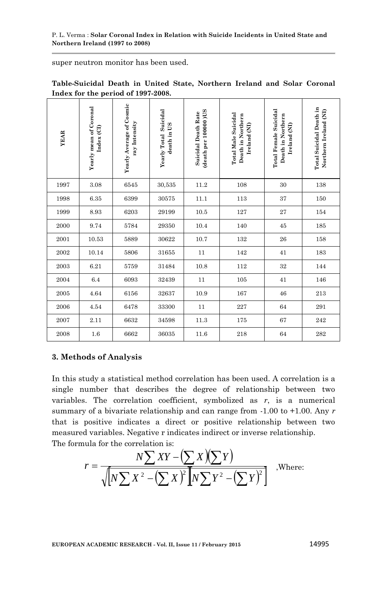super neutron monitor has been used.

| <b>YEAR</b> | Yearly mean of Coronal<br>Index (CI) | Yearly Average of Cosmic<br>ray Intensity | Yearly Total Suicidal<br>death in US | (death per 10000) US<br><b>Suicidal Death Rate</b> | <b>Total Male Suicidal</b><br>Death in Northern<br>Ireland (NI) | <b>Total Female Suicidal</b><br>Death in Northern<br>Ireland (NI) | <b>Total Suicidal Death in</b><br>Northern Ireland (NI) |
|-------------|--------------------------------------|-------------------------------------------|--------------------------------------|----------------------------------------------------|-----------------------------------------------------------------|-------------------------------------------------------------------|---------------------------------------------------------|
| 1997        | 3.08                                 | 6545                                      | 30,535                               | 11.2                                               | 108                                                             | 30                                                                | 138                                                     |
| 1998        | 6.35                                 | 6399                                      | 30575                                | 11.1                                               | 113                                                             | 37                                                                | 150                                                     |
| 1999        | 8.93                                 | 6203                                      | 29199                                | 10.5                                               | 127                                                             | 27                                                                | 154                                                     |
| 2000        | 9.74                                 | 5784                                      | 29350                                | 10.4                                               | 140                                                             | 45                                                                | 185                                                     |
| 2001        | 10.53                                | 5889                                      | 30622                                | 10.7                                               | 132                                                             | 26                                                                | 158                                                     |
| 2002        | 10.14                                | 5806                                      | 31655                                | 11                                                 | 142                                                             | 41                                                                | 183                                                     |
| 2003        | 6.21                                 | 5759                                      | 31484                                | 10.8                                               | 112                                                             | 32                                                                | 144                                                     |
| 2004        | 6.4                                  | 6093                                      | 32439                                | 11                                                 | 105                                                             | 41                                                                | 146                                                     |
| 2005        | 4.64                                 | 6156                                      | 32637                                | 10.9                                               | 167                                                             | 46                                                                | 213                                                     |
| 2006        | 4.54                                 | 6478                                      | 33300                                | 11                                                 | 227                                                             | 64                                                                | 291                                                     |
| 2007        | 2.11                                 | 6632                                      | 34598                                | 11.3                                               | 175                                                             | 67                                                                | 242                                                     |
| 2008        | 1.6                                  | 6662                                      | 36035                                | 11.6                                               | 218                                                             | 64                                                                | 282                                                     |

**Table-Suicidal Death in United State, Northern Ireland and Solar Coronal Index for the period of 1997-2008.**

### **3. Methods of Analysis**

In this study a statistical method correlation has been used. A correlation is a single number that describes the degree of relationship between two variables. The correlation coefficient, symbolized as *r*, is a numerical summary of a bivariate relationship and can range from -1.00 to +1.00. Any *r*  that is positive indicates a direct or positive relationship between two measured variables. Negative r indicates indirect or inverse relationship. The formula for the correlation is:

$$
r = \frac{N\sum XY - (\sum X)(\sum Y)}{\sqrt{N\sum X^2 - (\sum X)^2 N\sum Y^2 - (\sum Y)^2}}
$$
, where: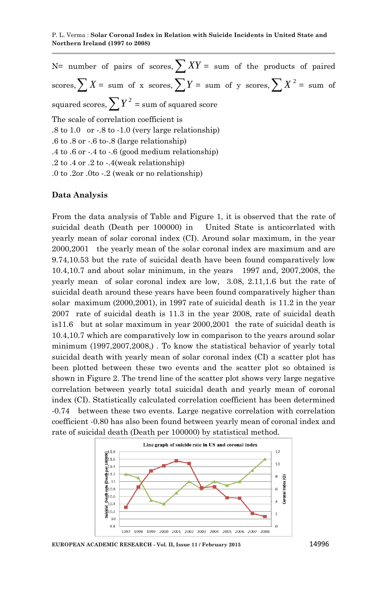$N=$  number of pairs of scores,  $\sum XY =$  sum of the products of paired scores,  $\sum X = \text{ sum of } x \text{ scores}, \sum Y = \text{ sum of } y \text{ scores}, \sum X^2 = \text{ sum of } y$ squared scores,  $\sum Y^2$  = sum of squared score The scale of correlation coefficient is  $.8 \text{ to } 1.0 \text{ or } .8 \text{ to } -1.0 \text{ (very large relationship)}$ .6 to .8 or -.6 to-.8 (large relationship) .4 to .6 or -.4 to -.6 (good medium relationship) .2 to .4 or .2 to -.4(weak relationship) .0 to .2or .0to -.2 (weak or no relationship)

### **Data Analysis**

From the data analysis of Table and Figure 1, it is observed that the rate of suicidal death (Death per 100000) in United State is anticorrlated with yearly mean of solar coronal index (CI). Around solar maximum, in the year 2000,2001 the yearly mean of the solar coronal index are maximum and are 9.74,10.53 but the rate of suicidal death have been found comparatively low 10.4,10.7 and about solar minimum, in the years 1997 and, 2007,2008, the yearly mean of solar coronal index are low, 3.08, 2.11,1.6 but the rate of suicidal death around these years have been found comparatively higher than solar maximum (2000,2001), in 1997 rate of suicidal death is 11.2 in the year 2007 rate of suicidal death is 11.3 in the year 2008, rate of suicidal death is11.6 but at solar maximum in year 2000,2001 the rate of suicidal death is 10.4,10.7 which are comparatively low in comparison to the years around solar minimum (1997,2007,2008,) . To know the statistical behavior of yearly total suicidal death with yearly mean of solar coronal index (CI) a scatter plot has been plotted between these two events and the scatter plot so obtained is shown in Figure 2. The trend line of the scatter plot shows very large negative correlation between yearly total suicidal death and yearly mean of coronal index (CI). Statistically calculated correlation coefficient has been determined -0.74 between these two events. Large negative correlation with correlation coefficient -0.80 has also been found between yearly mean of coronal index and rate of suicidal death (Death per 100000) by statistical method.



**EUROPEAN ACADEMIC RESEARCH - Vol. II, Issue 11 / February 2015** 14996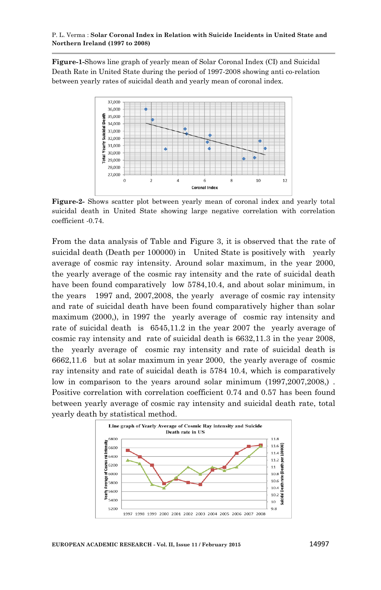#### P. L. Verma : **Solar Coronal Index in Relation with Suicide Incidents in United State and Northern Ireland (1997 to 2008)**

**Figure-1-**Shows line graph of yearly mean of Solar Coronal Index (CI) and Suicidal Death Rate in United State during the period of 1997-2008 showing anti co-relation between yearly rates of suicidal death and yearly mean of coronal index.



**Figure-2-** Shows scatter plot between yearly mean of coronal index and yearly total suicidal death in United State showing large negative correlation with correlation coefficient -0.74.

From the data analysis of Table and Figure 3, it is observed that the rate of suicidal death (Death per 100000) in United State is positively with yearly average of cosmic ray intensity. Around solar maximum, in the year 2000, the yearly average of the cosmic ray intensity and the rate of suicidal death have been found comparatively low 5784,10.4, and about solar minimum, in the years 1997 and, 2007,2008, the yearly average of cosmic ray intensity and rate of suicidal death have been found comparatively higher than solar maximum (2000,), in 1997 the yearly average of cosmic ray intensity and rate of suicidal death is 6545,11.2 in the year 2007 the yearly average of cosmic ray intensity and rate of suicidal death is 6632,11.3 in the year 2008, the yearly average of cosmic ray intensity and rate of suicidal death is 6662,11.6 but at solar maximum in year 2000, the yearly average of cosmic ray intensity and rate of suicidal death is 5784 10.4, which is comparatively low in comparison to the years around solar minimum (1997,2007,2008,) . Positive correlation with correlation coefficient 0.74 and 0.57 has been found between yearly average of cosmic ray intensity and suicidal death rate, total yearly death by statistical method.

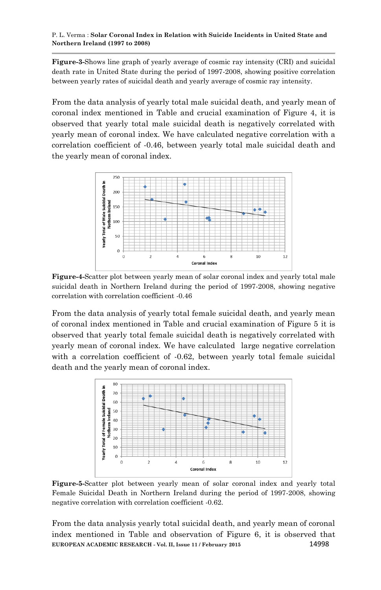#### P. L. Verma : **Solar Coronal Index in Relation with Suicide Incidents in United State and Northern Ireland (1997 to 2008)**

**Figure-3-**Shows line graph of yearly average of cosmic ray intensity (CRI) and suicidal death rate in United State during the period of 1997-2008, showing positive correlation between yearly rates of suicidal death and yearly average of cosmic ray intensity.

From the data analysis of yearly total male suicidal death, and yearly mean of coronal index mentioned in Table and crucial examination of Figure 4, it is observed that yearly total male suicidal death is negatively correlated with yearly mean of coronal index. We have calculated negative correlation with a correlation coefficient of -0.46, between yearly total male suicidal death and the yearly mean of coronal index.



**Figure-4-**Scatter plot between yearly mean of solar coronal index and yearly total male suicidal death in Northern Ireland during the period of 1997-2008, showing negative correlation with correlation coefficient -0.46

From the data analysis of yearly total female suicidal death, and yearly mean of coronal index mentioned in Table and crucial examination of Figure 5 it is observed that yearly total female suicidal death is negatively correlated with yearly mean of coronal index. We have calculated large negative correlation with a correlation coefficient of  $-0.62$ , between yearly total female suicidal death and the yearly mean of coronal index.



**Figure-5-**Scatter plot between yearly mean of solar coronal index and yearly total Female Suicidal Death in Northern Ireland during the period of 1997-2008, showing negative correlation with correlation coefficient -0.62.

**EUROPEAN ACADEMIC RESEARCH - Vol. II, Issue 11 / February 2015** 14998 From the data analysis yearly total suicidal death, and yearly mean of coronal index mentioned in Table and observation of Figure 6, it is observed that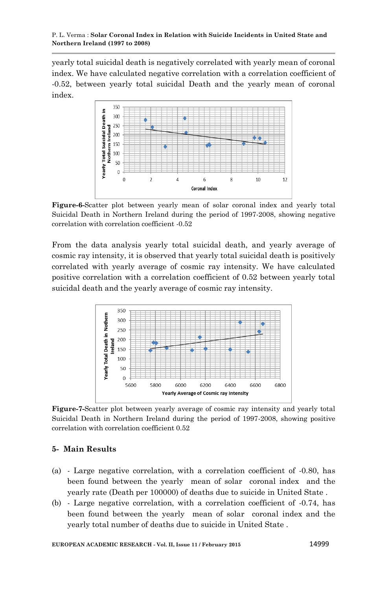yearly total suicidal death is negatively correlated with yearly mean of coronal index. We have calculated negative correlation with a correlation coefficient of -0.52, between yearly total suicidal Death and the yearly mean of coronal index.



**Figure-6-**Scatter plot between yearly mean of solar coronal index and yearly total Suicidal Death in Northern Ireland during the period of 1997-2008, showing negative correlation with correlation coefficient -0.52

From the data analysis yearly total suicidal death, and yearly average of cosmic ray intensity, it is observed that yearly total suicidal death is positively correlated with yearly average of cosmic ray intensity. We have calculated positive correlation with a correlation coefficient of 0.52 between yearly total suicidal death and the yearly average of cosmic ray intensity.



**Figure-7-**Scatter plot between yearly average of cosmic ray intensity and yearly total Suicidal Death in Northern Ireland during the period of 1997-2008, showing positive correlation with correlation coefficient 0.52

# **5- Main Results**

- (a) Large negative correlation, with a correlation coefficient of -0.80, has been found between the yearly mean of solar coronal index and the yearly rate (Death per 100000) of deaths due to suicide in United State .
- (b) Large negative correlation, with a correlation coefficient of -0.74, has been found between the yearly mean of solar coronal index and the yearly total number of deaths due to suicide in United State .

**EUROPEAN ACADEMIC RESEARCH - Vol. II, Issue 11 / February 2015** 14999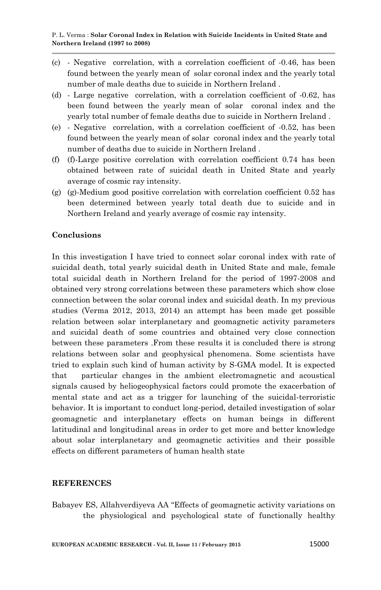- (c) Negative correlation, with a correlation coefficient of -0.46, has been found between the yearly mean of solar coronal index and the yearly total number of male deaths due to suicide in Northern Ireland .
- (d) Large negative correlation, with a correlation coefficient of -0.62, has been found between the yearly mean of solar coronal index and the yearly total number of female deaths due to suicide in Northern Ireland .
- (e) Negative correlation, with a correlation coefficient of -0.52, has been found between the yearly mean of solar coronal index and the yearly total number of deaths due to suicide in Northern Ireland .
- (f) (f)-Large positive correlation with correlation coefficient 0.74 has been obtained between rate of suicidal death in United State and yearly average of cosmic ray intensity.
- (g) (g)-Medium good positive correlation with correlation coefficient 0.52 has been determined between yearly total death due to suicide and in Northern Ireland and yearly average of cosmic ray intensity.

### **Conclusions**

In this investigation I have tried to connect solar coronal index with rate of suicidal death, total yearly suicidal death in United State and male, female total suicidal death in Northern Ireland for the period of 1997-2008 and obtained very strong correlations between these parameters which show close connection between the solar coronal index and suicidal death. In my previous studies (Verma 2012, 2013, 2014) an attempt has been made get possible relation between solar interplanetary and geomagnetic activity parameters and suicidal death of some countries and obtained very close connection between these parameters .From these results it is concluded there is strong relations between solar and geophysical phenomena. Some scientists have tried to explain such kind of human activity by S-GMA model. It is expected that particular changes in the ambient electromagnetic and acoustical signals caused by heliogeophysical factors could promote the exacerbation of mental state and act as a trigger for launching of the suicidal-terroristic behavior. It is important to conduct long-period, detailed investigation of solar geomagnetic and interplanetary effects on human beings in different latitudinal and longitudinal areas in order to get more and better knowledge about solar interplanetary and geomagnetic activities and their possible effects on different parameters of human health state

### **REFERENCES**

Babayev ES, Allahverdiyeva AA "Effects of geomagnetic activity variations on the physiological and psychological state of functionally healthy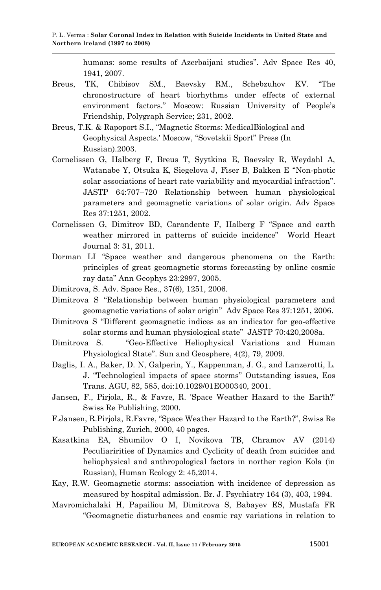humans: some results of Azerbaijani studies". Adv Space Res 40, 1941, 2007.

- Breus, TK, Chibisov SM., Baevsky RM., Schebzuhov KV. "The chronostructure of heart biorhythms under effects of external environment factors." Moscow: Russian University of People's Friendship, Polygraph Service; 231, 2002.
- Breus, T.K. & Rapoport S.I., "Magnetic Storms: MedicalBiological and Geophysical Aspects.' Moscow, "Sovetskii Sport" Press (In Russian).2003.
- Cornelissen G, Halberg F, Breus T, Syytkina E, Baevsky R, Weydahl A, Watanabe Y, Otsuka K, Siegelova J, Fiser B, Bakken E "Non-photic solar associations of heart rate variability and myocardial infraction". JASTP 64:707–720 Relationship between human physiological parameters and geomagnetic variations of solar origin. Adv Space Res 37:1251, 2002.
- Cornelissen G, Dimitrov BD, Carandente F, Halberg F "Space and earth weather mirrored in patterns of suicide incidence" World Heart Journal 3: 31, 2011.
- Dorman LI "Space weather and dangerous phenomena on the Earth: principles of great geomagnetic storms forecasting by online cosmic ray data" Ann Geophys 23:2997, 2005.
- Dimitrova, S. Adv. Space Res., 37(6), 1251, 2006.
- Dimitrova S "Relationship between human physiological parameters and geomagnetic variations of solar origin" Adv Space Res 37:1251, 2006.
- Dimitrova S "Different geomagnetic indices as an indicator for geo-effective solar storms and human physiological state" JASTP 70:420,2008a.
- Dimitrova S. "Geo-Effective Heliophysical Variations and Human Physiological State". Sun and Geosphere, 4(2), 79, 2009.
- Daglis, I. A., Baker, D. N, Galperin, Y., Kappenman, J. G., and Lanzerotti, L. J. "Technological impacts of space storms" Outstanding issues, Eos Trans. AGU, 82, 585, doi:10.1029/01EO00340, 2001.
- Jansen, F., Pirjola, R., & Favre, R. 'Space Weather Hazard to the Earth?' Swiss Re Publishing, 2000.
- F.Jansen, R.Pirjola, R.Favre, "Space Weather Hazard to the Earth?", Swiss Re Publishing, Zurich, 2000, 40 pages.
- Kasatkina EA, Shumilov O I, Novikova TB, Chramov AV (2014) Peculiaririties of Dynamics and Cyclicity of death from suicides and heliophysical and anthropological factors in norther region Kola (in Russian), Human Ecology 2: 45,2014.
- Kay, R.W. Geomagnetic storms: association with incidence of depression as measured by hospital admission. Br. J. Psychiatry 164 (3), 403, 1994.
- Mavromichalaki H, Papailiou M, Dimitrova S, Babayev ES, Mustafa FR "Geomagnetic disturbances and cosmic ray variations in relation to